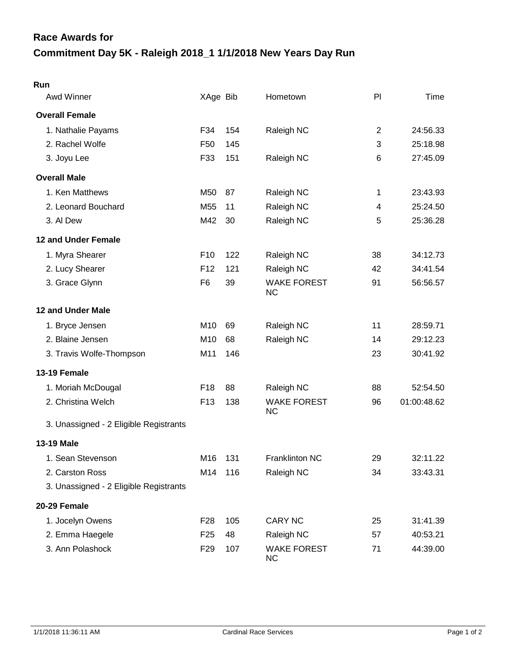## **Commitment Day 5K - Raleigh 2018\_1 1/1/2018 New Years Day Run Race Awards for**

| Run                                    |                 |     |                                 |    |             |
|----------------------------------------|-----------------|-----|---------------------------------|----|-------------|
| Awd Winner                             | XAge Bib        |     | Hometown                        | PI | Time        |
| <b>Overall Female</b>                  |                 |     |                                 |    |             |
| 1. Nathalie Payams                     | F34             | 154 | Raleigh NC                      | 2  | 24:56.33    |
| 2. Rachel Wolfe                        | F <sub>50</sub> | 145 |                                 | 3  | 25:18.98    |
| 3. Joyu Lee                            | F33             | 151 | Raleigh NC                      | 6  | 27:45.09    |
| <b>Overall Male</b>                    |                 |     |                                 |    |             |
| 1. Ken Matthews                        | M50             | 87  | Raleigh NC                      | 1  | 23:43.93    |
| 2. Leonard Bouchard                    | M <sub>55</sub> | 11  | Raleigh NC                      | 4  | 25:24.50    |
| 3. Al Dew                              | M42             | 30  | Raleigh NC                      | 5  | 25:36.28    |
| 12 and Under Female                    |                 |     |                                 |    |             |
| 1. Myra Shearer                        | F <sub>10</sub> | 122 | Raleigh NC                      | 38 | 34:12.73    |
| 2. Lucy Shearer                        | F <sub>12</sub> | 121 | Raleigh NC                      | 42 | 34:41.54    |
| 3. Grace Glynn                         | F <sub>6</sub>  | 39  | <b>WAKE FOREST</b><br><b>NC</b> | 91 | 56:56.57    |
| 12 and Under Male                      |                 |     |                                 |    |             |
| 1. Bryce Jensen                        | M10             | 69  | Raleigh NC                      | 11 | 28:59.71    |
| 2. Blaine Jensen                       | M10             | 68  | Raleigh NC                      | 14 | 29:12.23    |
| 3. Travis Wolfe-Thompson               | M11             | 146 |                                 | 23 | 30:41.92    |
| 13-19 Female                           |                 |     |                                 |    |             |
| 1. Moriah McDougal                     | F <sub>18</sub> | 88  | Raleigh NC                      | 88 | 52:54.50    |
| 2. Christina Welch                     | F <sub>13</sub> | 138 | <b>WAKE FOREST</b><br><b>NC</b> | 96 | 01:00:48.62 |
| 3. Unassigned - 2 Eligible Registrants |                 |     |                                 |    |             |
| 13-19 Male                             |                 |     |                                 |    |             |
| 1. Sean Stevenson                      | M16             | 131 | Franklinton NC                  | 29 | 32:11.22    |
| 2. Carston Ross                        | M14             | 116 | Raleigh NC                      | 34 | 33:43.31    |
| 3. Unassigned - 2 Eligible Registrants |                 |     |                                 |    |             |
| 20-29 Female                           |                 |     |                                 |    |             |
| 1. Jocelyn Owens                       | F <sub>28</sub> | 105 | <b>CARY NC</b>                  | 25 | 31:41.39    |
| 2. Emma Haegele                        | F <sub>25</sub> | 48  | Raleigh NC                      | 57 | 40:53.21    |
| 3. Ann Polashock                       | F <sub>29</sub> | 107 | <b>WAKE FOREST</b><br><b>NC</b> | 71 | 44:39.00    |